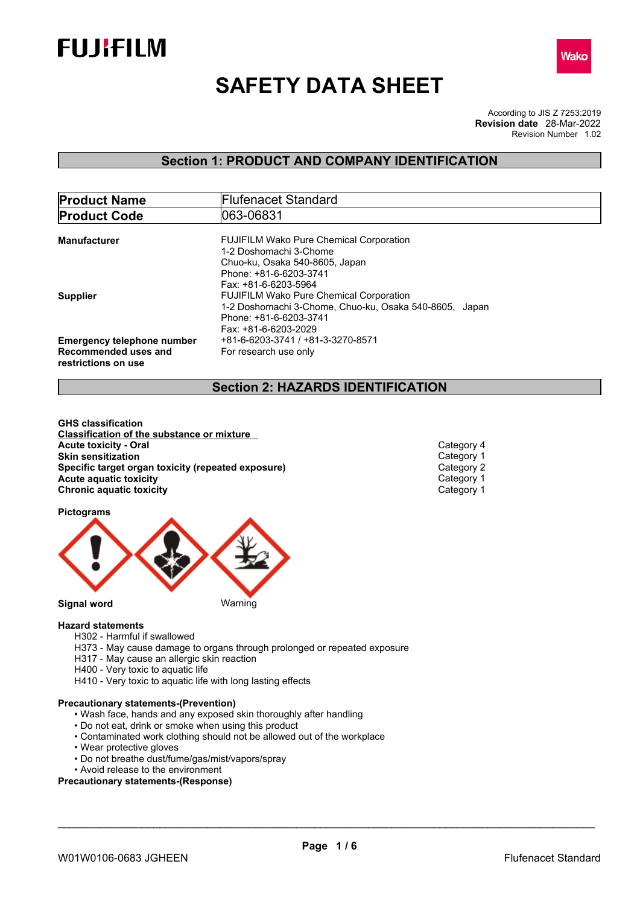



# **SAFETY DATA SHEET**

According to JIS Z 7253:2019 Revision Number 1.02 **Revision date** 28-Mar-2022

## **Section 1: PRODUCT AND COMPANY IDENTIFICATION**

| <b>Product Name</b>               | <b>Flufenacet Standard</b>                             |
|-----------------------------------|--------------------------------------------------------|
| <b>Product Code</b>               | 1063-06831                                             |
|                                   |                                                        |
| Manufacturer                      | <b>FUJIFILM Wako Pure Chemical Corporation</b>         |
|                                   | 1-2 Doshomachi 3-Chome                                 |
|                                   | Chuo-ku, Osaka 540-8605, Japan                         |
|                                   | Phone: +81-6-6203-3741                                 |
|                                   | Fax: +81-6-6203-5964                                   |
| <b>Supplier</b>                   | <b>FUJIFILM Wako Pure Chemical Corporation</b>         |
|                                   | 1-2 Doshomachi 3-Chome, Chuo-ku, Osaka 540-8605, Japan |
|                                   | Phone: +81-6-6203-3741                                 |
|                                   | Fax: +81-6-6203-2029                                   |
| <b>Emergency telephone number</b> | +81-6-6203-3741 / +81-3-3270-8571                      |
| Recommended uses and              | For research use only                                  |
| restrictions on use               |                                                        |
|                                   |                                                        |

## **Section 2: HAZARDS IDENTIFICATION**

**GHS classification Classification of the substance or mixture Acute toxicity - Oral** Category 4 **Skin sensitization**<br> **Specific target organ toxicity (repeated exposure)**<br>
Category 2 **Specific target organ toxicity (repeated exposure) Category 2<br>
<b>Acute aquatic toxicity** Category 1 **Acute** aquatic toxicity Category 1<br> **Chronic aquatic toxicity** Chronic aquatic toxicity Category 1 **Chronic aquatic toxicity** 

**Pictograms**



**Hazard statements** H302 - Harmful if swallowed

- H373 May cause damage to organs through prolonged or repeated exposure
- H317 May cause an allergic skin reaction
- H400 Very toxic to aquatic life
- H410 Very toxic to aquatic life with long lasting effects

## **Precautionary statements-(Prevention)**

- Wash face, hands and any exposed skin thoroughly after handling
- Do not eat, drink or smoke when using this product
- Contaminated work clothing should not be allowed out of the workplace
- Wear protective gloves
- Do not breathe dust/fume/gas/mist/vapors/spray

• Avoid release to the environment

**Precautionary statements-(Response)**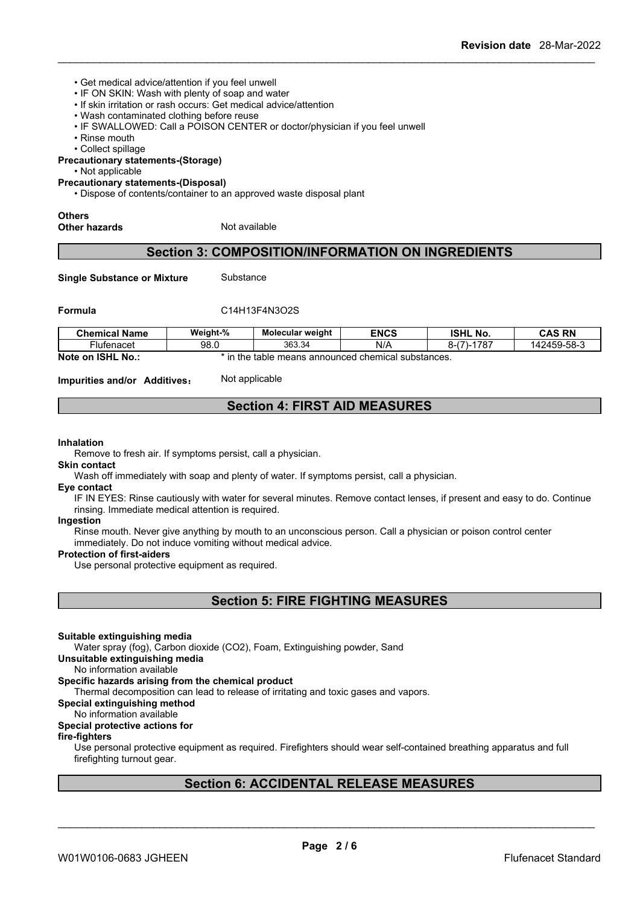- Get medical advice/attention if you feel unwell
- IF ON SKIN: Wash with plenty of soap and water
- If skin irritation or rash occurs: Get medical advice/attention
- Wash contaminated clothing before reuse
- IF SWALLOWED: Call a POISON CENTER or doctor/physician if you feel unwell
- Rinse mouth

• Collect spillage

**Precautionary statements-(Storage)**

• Not applicable

## **Precautionary statements-(Disposal)**

• Dispose of contents/container to an approved waste disposal plant

#### **Others**

**Other hazards** Not available

## **Section 3: COMPOSITION/INFORMATION ON INGREDIENTS**

**Single Substance or Mixture** Substance

## **Formula** C14H13F4N3O2S

| <b>Chemical Name</b>                      | Weight-%                                                  | Molecular weight | <b>ENCS</b> | <b>ISHL No.</b>             | <b>CAS RN</b> |
|-------------------------------------------|-----------------------------------------------------------|------------------|-------------|-----------------------------|---------------|
| ∺lutenacet                                | 98.0                                                      | 363.34           | N/A         | $170 -$<br>ດ /<br>70<br>ו-מ | 142459-58-3   |
| <b>Note</b><br><b>ISHL</b><br>` No<br>.on | s announced chemical substances.<br>means<br>table<br>the |                  |             |                             |               |

**Impurities and/or Additives**: Not applicable

## **Section 4: FIRST AID MEASURES**

#### **Inhalation**

Remove to fresh air. If symptoms persist, call a physician.

## **Skin contact**

Wash off immediately with soap and plenty of water. If symptoms persist, call a physician.

#### **Eye contact**

IF IN EYES: Rinse cautiously with water for several minutes. Remove contact lenses, if present and easy to do. Continue rinsing. Immediate medical attention is required.

## **Ingestion**

Rinse mouth. Never give anything by mouth to an unconscious person. Call a physician or poison control center immediately. Do not induce vomiting without medical advice.

#### **Protection of first-aiders**

Use personal protective equipment as required.

**Section 5: FIRE FIGHTING MEASURES**

#### **Suitable extinguishing media**

Water spray (fog), Carbon dioxide (CO2), Foam, Extinguishing powder, Sand

**Unsuitable extinguishing media**

## No information available

## **Specific hazards arising from the chemical product**

Thermal decomposition can lead to release of irritating and toxic gases and vapors.

## **Special extinguishing method**

#### No information available

## **Special protective actions for**

## **fire-fighters**

Use personal protective equipment as required.Firefighters should wear self-contained breathing apparatus and full firefighting turnout gear.

## **Section 6: ACCIDENTAL RELEASE MEASURES**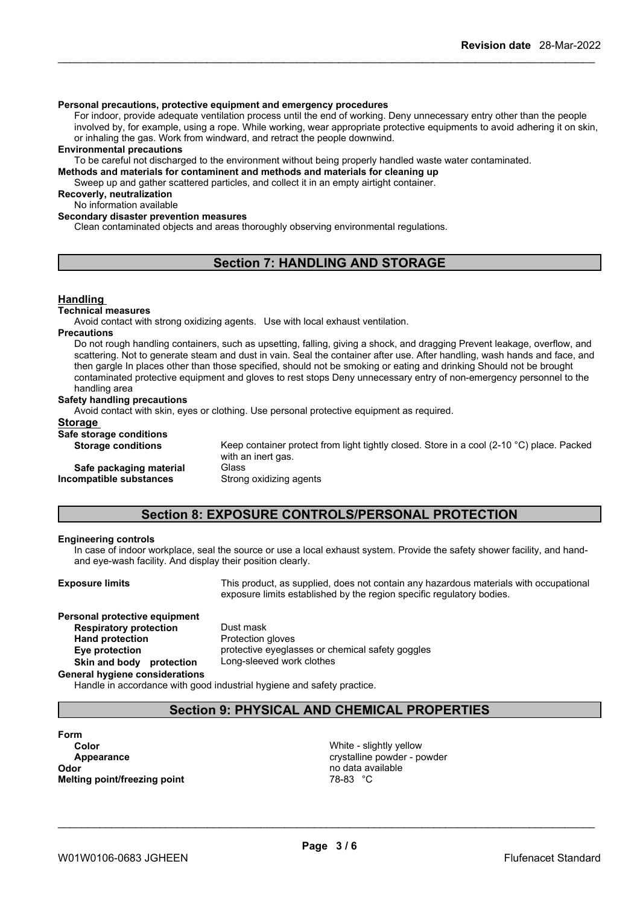#### **Personal precautions, protective equipment and emergency procedures**

For indoor, provide adequate ventilation process until the end of working. Deny unnecessary entry other than the people involved by, for example, using a rope. While working, wear appropriate protective equipments to avoid adhering it on skin, or inhaling the gas. Work from windward, and retract the people downwind.

#### **Environmental precautions**

To be careful not discharged to the environment without being properly handled waste water contaminated.

**Methods and materials for contaminent and methods and materials for cleaning up**

Sweep up and gather scattered particles, and collect it in an empty airtight container.

**Recoverly, neutralization**

## No information available

**Secondary disaster prevention measures**

Clean contaminated objects and areas thoroughly observing environmental regulations.

## **Section 7: HANDLING AND STORAGE**

#### **Handling**

#### **Technical measures**

Avoid contact with strong oxidizing agents. Use with local exhaust ventilation.

#### **Precautions**

Do not rough handling containers, such as upsetting, falling, giving a shock, and dragging Prevent leakage, overflow, and scattering. Not to generate steam and dust in vain. Seal the container after use. After handling, wash hands and face, and then gargle In places other than those specified, should not be smoking or eating and drinking Should not be brought contaminated protective equipment and gloves to rest stops Deny unnecessary entry of non-emergency personnel to the handling area

#### **Safety handling precautions**

Avoid contact with skin, eyes or clothing. Use personal protective equipment as required.

## **Storage**

| Safe storage conditions   |                                                                                                                           |
|---------------------------|---------------------------------------------------------------------------------------------------------------------------|
| <b>Storage conditions</b> | Keep container protect from light tightly closed. Store in a cool (2-10 $^{\circ}$ C) place. Packed<br>with an inert gas. |
| Safe packaging material   | Glass                                                                                                                     |
| Incompatible substances   | Strong oxidizing agents                                                                                                   |
|                           |                                                                                                                           |

## **Section 8: EXPOSURE CONTROLS/PERSONAL PROTECTION**

#### **Engineering controls**

In case of indoor workplace, seal the source or use a local exhaust system. Provide the safety shower facility, and handand eye-wash facility. And display their position clearly.

**Exposure limits** This product, as supplied, does not contain any hazardous materials with occupational exposure limits established by the region specific regulatory bodies.

## **Personal protective equipment Respiratory protection** Dust mask **Hand protection** Protection gloves

**Eye protection** protective eyeglasses or chemical safety goggles **Skin and body protection** Long-sleeved work clothes

**General hygiene considerations**

Handle in accordance with good industrial hygiene and safety practice.

## **Section 9: PHYSICAL AND CHEMICAL PROPERTIES**

## **Form Odor** no data available **Melting point/freezing point** 78-83 °C

**Color** White - slightly yellow **Appearance crystalline powder - powder**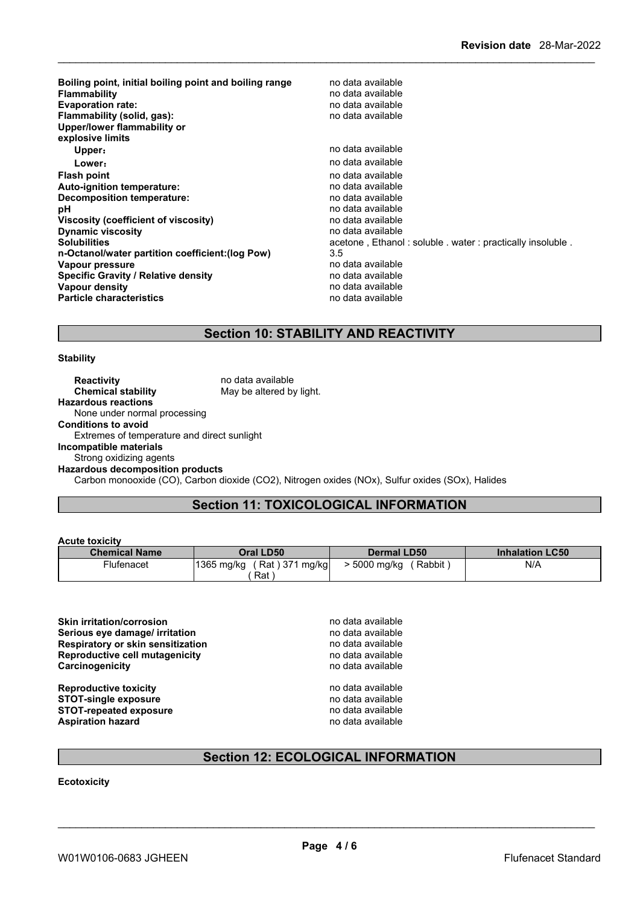**Boiling point, initial boiling point and boiling range** no data available **Flammability no data available no data available Evaporation rate:** no data available **Flammability** (solid, gas): **Upper/lower flammability or explosive limits Upper**: **no data available Lower:** no data available **Flash point point** *point point point point point point point point point point point point point point point point point point point point* **Auto-ignition temperature:** no data available **Decomposition temperature:**<br> **pH** no data available<br>
no data available **pH** no data available **Viscosity (coefficient of viscosity)** no data available **Dynamic viscosity**<br> **Solubilities**<br> **Solubilities**<br> **Solubilities** acetone, Ethanol : soluble . water : practically insoluble . **n-Octanol/water partition coefficient:(log Pow)** 3.5 **Vapour pressure**<br> **Specific Gravity / Relative density**<br> **Specific Gravity / Relative density**<br> **Property** and the notata available **Specific Gravity / Relative density Vapour density values values values no** data available **Particle characteristics characteristics no data available no data available** 

## **Section 10: STABILITY AND REACTIVITY**

## **Stability**

**Reactivity no data available Chemical stability** May be altered by light. **Hazardous reactions** None under normal processing **Conditions to avoid** Extremes of temperature and direct sunlight **Incompatible materials** Strong oxidizing agents **Hazardous decomposition products** Carbon monooxide (CO), Carbon dioxide (CO2), Nitrogen oxides (NOx), Sulfur oxides (SOx), Halides

## **Section 11: TOXICOLOGICAL INFORMATION**

## **Acute toxicity**

| ----------------     |                                  |                      |                        |
|----------------------|----------------------------------|----------------------|------------------------|
| <b>Chemical Name</b> | Oral LD50                        | <b>Dermal LD50</b>   | <b>Inhalation LC50</b> |
| Flufenacet           | Rat ) 371<br>1365 mg/kg<br>mg/kg | Rabbit<br>5000 mg/kg | N/A                    |
|                      | Rat                              |                      |                        |

**Skin irritation/corrosion**<br> **Serious eve damage/ irritation**<br> **Serious eve damage/ irritation Serious eye damage/ irritation**<br> **Respiratory or skin sensitization**<br> **Respiratory or skin sensitization**<br> **Respiratory of skin sensitization Respiratory or skin sensitization**<br> **Reproductive cell mutagenicity**<br> **Reproductive cell mutagenicity**<br> **Reproductive cell mutagenicity Reproductive cell mutagenicity Carcinogenicity Carcinogenicity Carcinogenicity Carcinogenicity Carcinogenicity Carcinogenicity Carcinogenicity** 

**Reproductive toxicity no data available** no data available **STOT-single exposure**<br> **STOT-repeated exposure**<br> **STOT-repeated exposure**<br> **STOT-repeated exposure STOT-repeated exposure**<br> **Aspiration hazard**<br> **Aspiration hazard**<br> **Aspiration hazard Aspiration hazard** 

\_\_\_\_\_\_\_\_\_\_\_\_\_\_\_\_\_\_\_\_\_\_\_\_\_\_\_\_\_\_\_\_\_\_\_\_\_\_\_\_\_\_\_\_\_\_\_\_\_\_\_\_\_\_\_\_\_\_\_\_\_\_\_\_\_\_\_\_\_\_\_\_\_\_\_\_\_\_\_\_\_\_\_\_\_\_\_\_\_\_

## **Section 12: ECOLOGICAL INFORMATION**

**Ecotoxicity**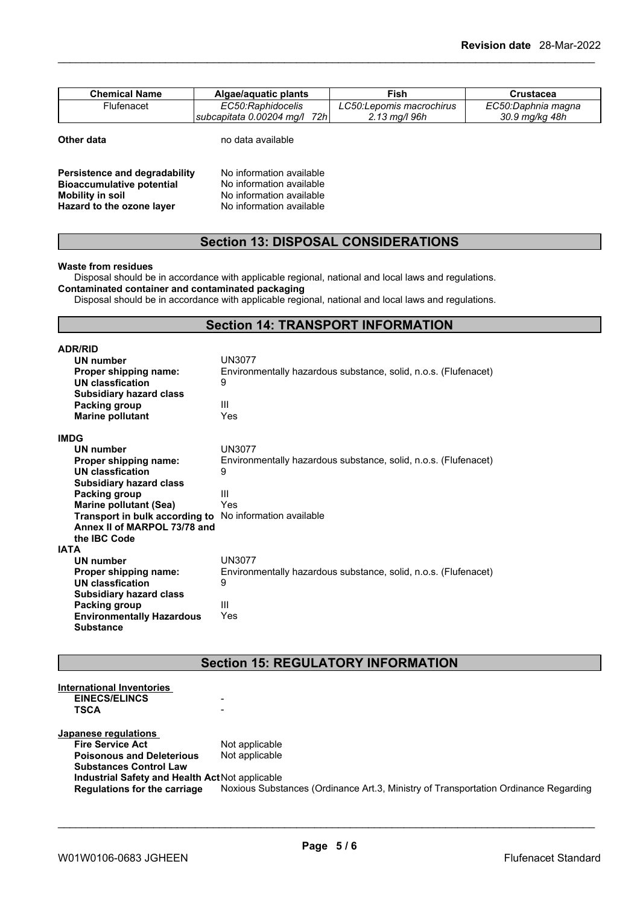| <b>Chemical Name</b> | Algae/aguatic plants            | Fish                        | Crustacea          |
|----------------------|---------------------------------|-----------------------------|--------------------|
| Flufenacet           | EC50:Raphidocelis               | LC50:Lepomis macrochirus    | EC50:Daphnia magna |
|                      | 72h<br>subcapitata 0.00204 mg/l | $2.13 \,\mathrm{ma}$ /l 96h | 30.9 ma/ka 48h     |

| Other data |  |
|------------|--|
|------------|--|

**Other data** no data available

| Persistence and degradability    | No information available |
|----------------------------------|--------------------------|
| <b>Bioaccumulative potential</b> | No information available |
| <b>Mobility in soil</b>          | No information available |
| Hazard to the ozone layer        | No information available |

## **Section 13: DISPOSAL CONSIDERATIONS**

### **Waste from residues**

Disposal should be in accordance with applicable regional, national and local laws and regulations. **Contaminated container and contaminated packaging**

Disposal should be in accordance with applicable regional, national and local laws and regulations.

## **Section 14: TRANSPORT INFORMATION**

| <b>ADR/RID</b>                   |                                                                 |
|----------------------------------|-----------------------------------------------------------------|
| <b>UN number</b>                 | UN3077                                                          |
| Proper shipping name:            | Environmentally hazardous substance, solid, n.o.s. (Flufenacet) |
| UN classfication                 | 9                                                               |
| <b>Subsidiary hazard class</b>   |                                                                 |
| Packing group                    | Ш                                                               |
| <b>Marine pollutant</b>          | Yes                                                             |
| <b>IMDG</b>                      |                                                                 |
| <b>UN number</b>                 | UN3077                                                          |
| Proper shipping name:            | Environmentally hazardous substance, solid, n.o.s. (Flufenacet) |
| UN classfication                 | 9                                                               |
| <b>Subsidiary hazard class</b>   |                                                                 |
| Packing group                    | Ш                                                               |
| <b>Marine pollutant (Sea)</b>    | Yes                                                             |
| Transport in bulk according to   | No information available                                        |
| Annex II of MARPOL 73/78 and     |                                                                 |
| the IBC Code                     |                                                                 |
| IATA                             |                                                                 |
| UN number                        | UN3077                                                          |
| Proper shipping name:            | Environmentally hazardous substance, solid, n.o.s. (Flufenacet) |
| UN classfication                 | 9                                                               |
| <b>Subsidiary hazard class</b>   |                                                                 |
| Packing group                    | Ш                                                               |
| <b>Environmentally Hazardous</b> | Yes                                                             |
| <b>Substance</b>                 |                                                                 |

## **Section 15: REGULATORY INFORMATION**

| <b>International Inventories</b>                |                                                                                     |
|-------------------------------------------------|-------------------------------------------------------------------------------------|
| <b>EINECS/ELINCS</b>                            | -                                                                                   |
| <b>TSCA</b>                                     | -                                                                                   |
|                                                 |                                                                                     |
| Japanese regulations                            |                                                                                     |
| <b>Fire Service Act</b>                         | Not applicable                                                                      |
| <b>Poisonous and Deleterious</b>                | Not applicable                                                                      |
| <b>Substances Control Law</b>                   |                                                                                     |
| Industrial Safety and Health Act Not applicable |                                                                                     |
| Regulations for the carriage                    | Noxious Substances (Ordinance Art.3, Ministry of Transportation Ordinance Regarding |